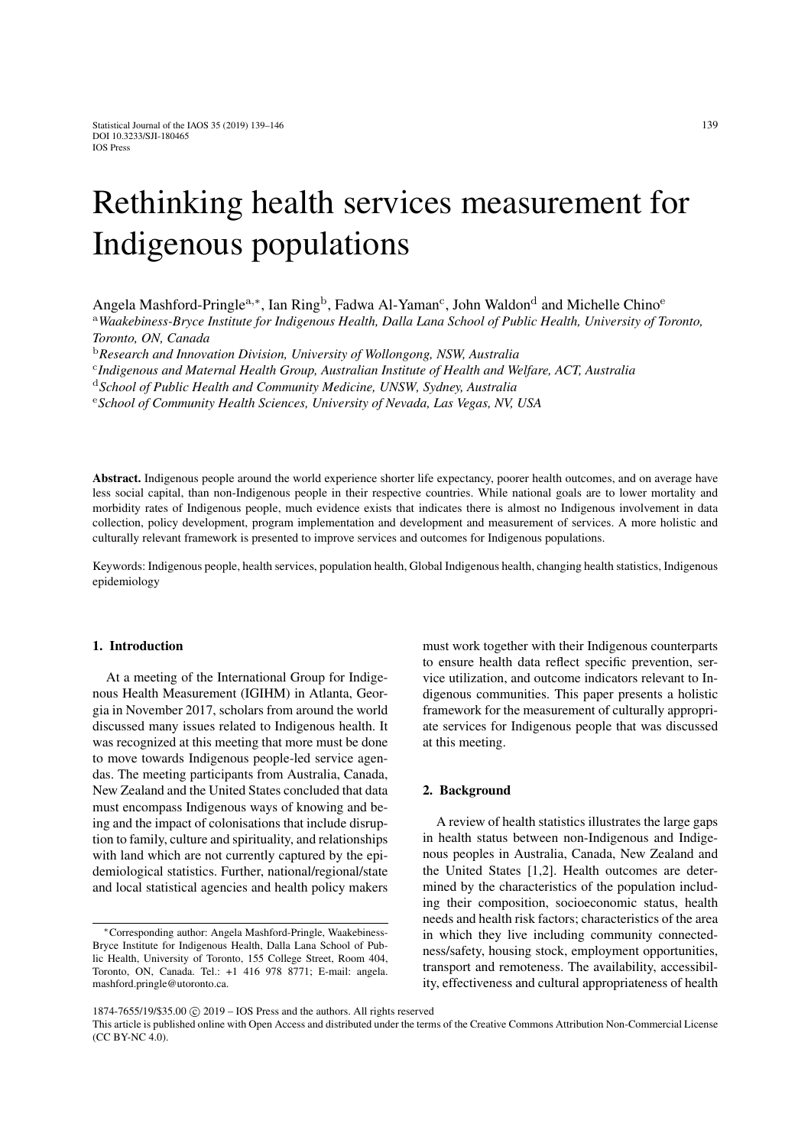# Rethinking health services measurement for Indigenous populations

Angela Mashford-Pringle<sup>a,∗</sup>, Ian Ring<sup>b</sup>, Fadwa Al-Yaman<sup>c</sup>, John Waldon<sup>d</sup> and Michelle Chino<sup>e</sup>

<sup>a</sup>*Waakebiness-Bryce Institute for Indigenous Health, Dalla Lana School of Public Health, University of Toronto, Toronto, ON, Canada*

<sup>b</sup>*Research and Innovation Division, University of Wollongong, NSW, Australia*

c *Indigenous and Maternal Health Group, Australian Institute of Health and Welfare, ACT, Australia*

<sup>d</sup>*School of Public Health and Community Medicine, UNSW, Sydney, Australia*

<sup>e</sup>*School of Community Health Sciences, University of Nevada, Las Vegas, NV, USA*

Abstract. Indigenous people around the world experience shorter life expectancy, poorer health outcomes, and on average have less social capital, than non-Indigenous people in their respective countries. While national goals are to lower mortality and morbidity rates of Indigenous people, much evidence exists that indicates there is almost no Indigenous involvement in data collection, policy development, program implementation and development and measurement of services. A more holistic and culturally relevant framework is presented to improve services and outcomes for Indigenous populations.

Keywords: Indigenous people, health services, population health, Global Indigenous health, changing health statistics, Indigenous epidemiology

#### 1. Introduction

At a meeting of the International Group for Indigenous Health Measurement (IGIHM) in Atlanta, Georgia in November 2017, scholars from around the world discussed many issues related to Indigenous health. It was recognized at this meeting that more must be done to move towards Indigenous people-led service agendas. The meeting participants from Australia, Canada, New Zealand and the United States concluded that data must encompass Indigenous ways of knowing and being and the impact of colonisations that include disruption to family, culture and spirituality, and relationships with land which are not currently captured by the epidemiological statistics. Further, national/regional/state and local statistical agencies and health policy makers must work together with their Indigenous counterparts to ensure health data reflect specific prevention, service utilization, and outcome indicators relevant to Indigenous communities. This paper presents a holistic framework for the measurement of culturally appropriate services for Indigenous people that was discussed at this meeting.

### 2. Background

A review of health statistics illustrates the large gaps in health status between non-Indigenous and Indigenous peoples in Australia, Canada, New Zealand and the United States [\[1,](#page-6-0)[2\]](#page-6-1). Health outcomes are determined by the characteristics of the population including their composition, socioeconomic status, health needs and health risk factors; characteristics of the area in which they live including community connectedness/safety, housing stock, employment opportunities, transport and remoteness. The availability, accessibility, effectiveness and cultural appropriateness of health

<sup>∗</sup>Corresponding author: Angela Mashford-Pringle, Waakebiness-Bryce Institute for Indigenous Health, Dalla Lana School of Public Health, University of Toronto, 155 College Street, Room 404, Toronto, ON, Canada. Tel.: +1 416 978 8771; E-mail: angela. mashford.pringle@utoronto.ca.

<sup>1874-7655/19/\$35.00 © 2019 -</sup> IOS Press and the authors. All rights reserved

This article is published online with Open Access and distributed under the terms of the Creative Commons Attribution Non-Commercial License (CC BY-NC 4.0).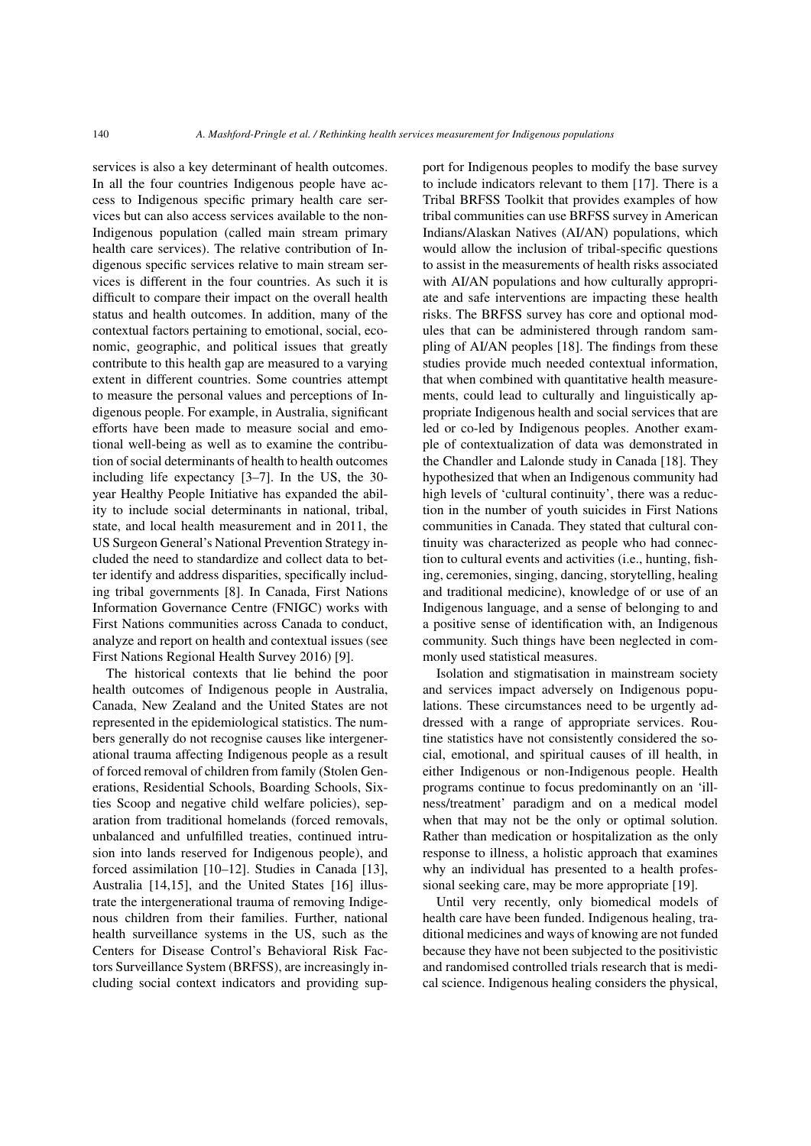services is also a key determinant of health outcomes. In all the four countries Indigenous people have access to Indigenous specific primary health care services but can also access services available to the non-Indigenous population (called main stream primary health care services). The relative contribution of Indigenous specific services relative to main stream services is different in the four countries. As such it is difficult to compare their impact on the overall health status and health outcomes. In addition, many of the contextual factors pertaining to emotional, social, economic, geographic, and political issues that greatly contribute to this health gap are measured to a varying extent in different countries. Some countries attempt to measure the personal values and perceptions of Indigenous people. For example, in Australia, significant efforts have been made to measure social and emotional well-being as well as to examine the contribution of social determinants of health to health outcomes including life expectancy [\[3](#page-6-2)[–7\]](#page-6-3). In the US, the 30 year Healthy People Initiative has expanded the ability to include social determinants in national, tribal, state, and local health measurement and in 2011, the US Surgeon General's National Prevention Strategy included the need to standardize and collect data to better identify and address disparities, specifically including tribal governments [\[8\]](#page-6-4). In Canada, First Nations Information Governance Centre (FNIGC) works with First Nations communities across Canada to conduct, analyze and report on health and contextual issues (see First Nations Regional Health Survey 2016) [\[9\]](#page-6-5).

The historical contexts that lie behind the poor health outcomes of Indigenous people in Australia, Canada, New Zealand and the United States are not represented in the epidemiological statistics. The numbers generally do not recognise causes like intergenerational trauma affecting Indigenous people as a result of forced removal of children from family (Stolen Generations, Residential Schools, Boarding Schools, Sixties Scoop and negative child welfare policies), separation from traditional homelands (forced removals, unbalanced and unfulfilled treaties, continued intrusion into lands reserved for Indigenous people), and forced assimilation [\[10–](#page-6-6)[12\]](#page-6-7). Studies in Canada [\[13\]](#page-7-0), Australia [\[14,](#page-7-1)[15\]](#page-7-2), and the United States [\[16\]](#page-7-3) illustrate the intergenerational trauma of removing Indigenous children from their families. Further, national health surveillance systems in the US, such as the Centers for Disease Control's Behavioral Risk Factors Surveillance System (BRFSS), are increasingly including social context indicators and providing support for Indigenous peoples to modify the base survey to include indicators relevant to them [\[17\]](#page-7-4). There is a Tribal BRFSS Toolkit that provides examples of how tribal communities can use BRFSS survey in American Indians/Alaskan Natives (AI/AN) populations, which would allow the inclusion of tribal-specific questions to assist in the measurements of health risks associated with AI/AN populations and how culturally appropriate and safe interventions are impacting these health risks. The BRFSS survey has core and optional modules that can be administered through random sampling of AI/AN peoples [\[18\]](#page-7-5). The findings from these studies provide much needed contextual information, that when combined with quantitative health measurements, could lead to culturally and linguistically appropriate Indigenous health and social services that are led or co-led by Indigenous peoples. Another example of contextualization of data was demonstrated in the Chandler and Lalonde study in Canada [\[18\]](#page-7-5). They hypothesized that when an Indigenous community had high levels of 'cultural continuity', there was a reduction in the number of youth suicides in First Nations communities in Canada. They stated that cultural continuity was characterized as people who had connection to cultural events and activities (i.e., hunting, fishing, ceremonies, singing, dancing, storytelling, healing and traditional medicine), knowledge of or use of an Indigenous language, and a sense of belonging to and a positive sense of identification with, an Indigenous community. Such things have been neglected in commonly used statistical measures.

Isolation and stigmatisation in mainstream society and services impact adversely on Indigenous populations. These circumstances need to be urgently addressed with a range of appropriate services. Routine statistics have not consistently considered the social, emotional, and spiritual causes of ill health, in either Indigenous or non-Indigenous people. Health programs continue to focus predominantly on an 'illness/treatment' paradigm and on a medical model when that may not be the only or optimal solution. Rather than medication or hospitalization as the only response to illness, a holistic approach that examines why an individual has presented to a health professional seeking care, may be more appropriate [\[19\]](#page-7-6).

Until very recently, only biomedical models of health care have been funded. Indigenous healing, traditional medicines and ways of knowing are not funded because they have not been subjected to the positivistic and randomised controlled trials research that is medical science. Indigenous healing considers the physical,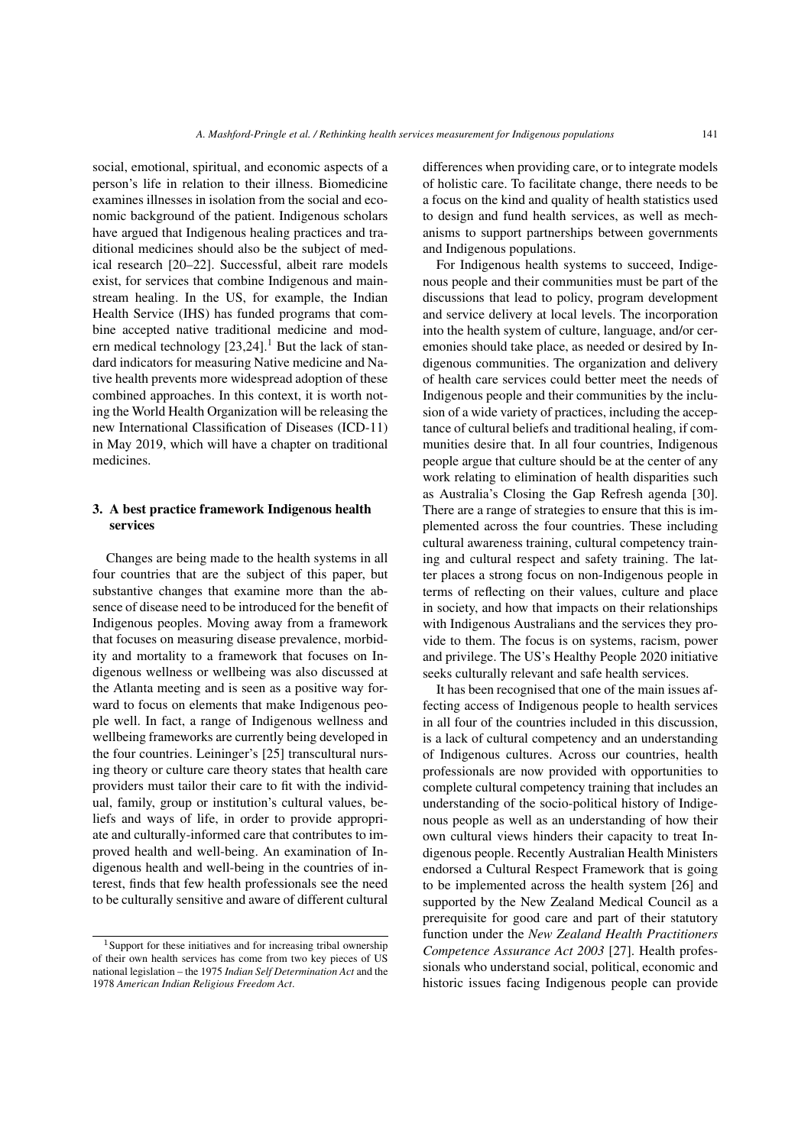social, emotional, spiritual, and economic aspects of a person's life in relation to their illness. Biomedicine examines illnesses in isolation from the social and economic background of the patient. Indigenous scholars have argued that Indigenous healing practices and traditional medicines should also be the subject of medical research [\[20–](#page-7-7)[22\]](#page-7-8). Successful, albeit rare models exist, for services that combine Indigenous and mainstream healing. In the US, for example, the Indian Health Service (IHS) has funded programs that combine accepted native traditional medicine and modern medical technology  $[23,24]$  $[23,24]$ .<sup>[1](#page-2-0)</sup> But the lack of standard indicators for measuring Native medicine and Native health prevents more widespread adoption of these combined approaches. In this context, it is worth noting the World Health Organization will be releasing the new International Classification of Diseases (ICD-11) in May 2019, which will have a chapter on traditional medicines.

# 3. A best practice framework Indigenous health services

Changes are being made to the health systems in all four countries that are the subject of this paper, but substantive changes that examine more than the absence of disease need to be introduced for the benefit of Indigenous peoples. Moving away from a framework that focuses on measuring disease prevalence, morbidity and mortality to a framework that focuses on Indigenous wellness or wellbeing was also discussed at the Atlanta meeting and is seen as a positive way forward to focus on elements that make Indigenous people well. In fact, a range of Indigenous wellness and wellbeing frameworks are currently being developed in the four countries. Leininger's [\[25\]](#page-7-11) transcultural nursing theory or culture care theory states that health care providers must tailor their care to fit with the individual, family, group or institution's cultural values, beliefs and ways of life, in order to provide appropriate and culturally-informed care that contributes to improved health and well-being. An examination of Indigenous health and well-being in the countries of interest, finds that few health professionals see the need to be culturally sensitive and aware of different cultural differences when providing care, or to integrate models of holistic care. To facilitate change, there needs to be a focus on the kind and quality of health statistics used to design and fund health services, as well as mechanisms to support partnerships between governments and Indigenous populations.

For Indigenous health systems to succeed, Indigenous people and their communities must be part of the discussions that lead to policy, program development and service delivery at local levels. The incorporation into the health system of culture, language, and/or ceremonies should take place, as needed or desired by Indigenous communities. The organization and delivery of health care services could better meet the needs of Indigenous people and their communities by the inclusion of a wide variety of practices, including the acceptance of cultural beliefs and traditional healing, if communities desire that. In all four countries, Indigenous people argue that culture should be at the center of any work relating to elimination of health disparities such as Australia's Closing the Gap Refresh agenda [\[30\]](#page-7-12). There are a range of strategies to ensure that this is implemented across the four countries. These including cultural awareness training, cultural competency training and cultural respect and safety training. The latter places a strong focus on non-Indigenous people in terms of reflecting on their values, culture and place in society, and how that impacts on their relationships with Indigenous Australians and the services they provide to them. The focus is on systems, racism, power and privilege. The US's Healthy People 2020 initiative seeks culturally relevant and safe health services.

It has been recognised that one of the main issues affecting access of Indigenous people to health services in all four of the countries included in this discussion, is a lack of cultural competency and an understanding of Indigenous cultures. Across our countries, health professionals are now provided with opportunities to complete cultural competency training that includes an understanding of the socio-political history of Indigenous people as well as an understanding of how their own cultural views hinders their capacity to treat Indigenous people. Recently Australian Health Ministers endorsed a Cultural Respect Framework that is going to be implemented across the health system [\[26\]](#page-7-13) and supported by the New Zealand Medical Council as a prerequisite for good care and part of their statutory function under the *New Zealand Health Practitioners Competence Assurance Act 2003* [\[27\]](#page-7-14). Health professionals who understand social, political, economic and historic issues facing Indigenous people can provide

<span id="page-2-0"></span><sup>1</sup>Support for these initiatives and for increasing tribal ownership of their own health services has come from two key pieces of US national legislation – the 1975 *Indian Self Determination Act* and the 1978 *American Indian Religious Freedom Act*.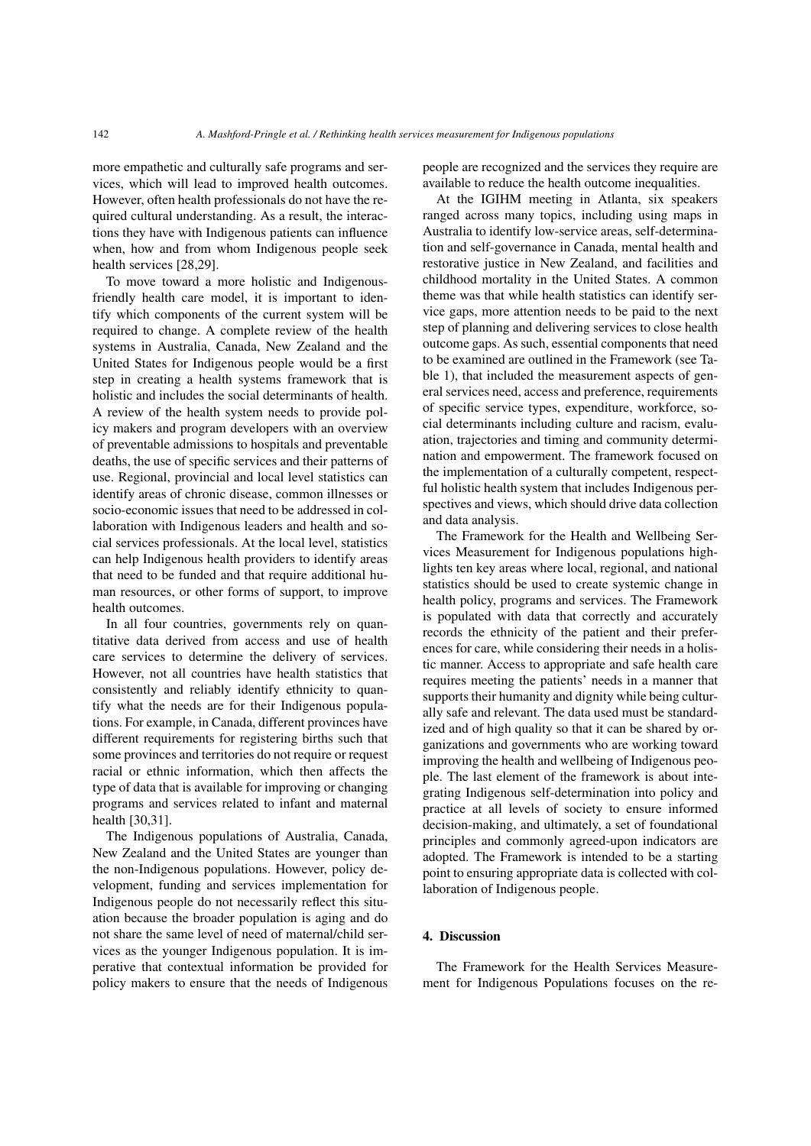more empathetic and culturally safe programs and services, which will lead to improved health outcomes. However, often health professionals do not have the required cultural understanding. As a result, the interactions they have with Indigenous patients can influence when, how and from whom Indigenous people seek health services [\[28,](#page-7-15)[29\]](#page-7-16).

To move toward a more holistic and Indigenousfriendly health care model, it is important to identify which components of the current system will be required to change. A complete review of the health systems in Australia, Canada, New Zealand and the United States for Indigenous people would be a first step in creating a health systems framework that is holistic and includes the social determinants of health. A review of the health system needs to provide policy makers and program developers with an overview of preventable admissions to hospitals and preventable deaths, the use of specific services and their patterns of use. Regional, provincial and local level statistics can identify areas of chronic disease, common illnesses or socio-economic issues that need to be addressed in collaboration with Indigenous leaders and health and social services professionals. At the local level, statistics can help Indigenous health providers to identify areas that need to be funded and that require additional human resources, or other forms of support, to improve health outcomes.

In all four countries, governments rely on quantitative data derived from access and use of health care services to determine the delivery of services. However, not all countries have health statistics that consistently and reliably identify ethnicity to quantify what the needs are for their Indigenous populations. For example, in Canada, different provinces have different requirements for registering births such that some provinces and territories do not require or request racial or ethnic information, which then affects the type of data that is available for improving or changing programs and services related to infant and maternal health [\[30,](#page-7-12)[31\]](#page-7-17).

The Indigenous populations of Australia, Canada, New Zealand and the United States are younger than the non-Indigenous populations. However, policy development, funding and services implementation for Indigenous people do not necessarily reflect this situation because the broader population is aging and do not share the same level of need of maternal/child services as the younger Indigenous population. It is imperative that contextual information be provided for policy makers to ensure that the needs of Indigenous people are recognized and the services they require are available to reduce the health outcome inequalities.

At the IGIHM meeting in Atlanta, six speakers ranged across many topics, including using maps in Australia to identify low-service areas, self-determination and self-governance in Canada, mental health and restorative justice in New Zealand, and facilities and childhood mortality in the United States. A common theme was that while health statistics can identify service gaps, more attention needs to be paid to the next step of planning and delivering services to close health outcome gaps. As such, essential components that need to be examined are outlined in the Framework (see Table [1\)](#page-4-0), that included the measurement aspects of general services need, access and preference, requirements of specific service types, expenditure, workforce, social determinants including culture and racism, evaluation, trajectories and timing and community determination and empowerment. The framework focused on the implementation of a culturally competent, respectful holistic health system that includes Indigenous perspectives and views, which should drive data collection and data analysis.

The Framework for the Health and Wellbeing Services Measurement for Indigenous populations highlights ten key areas where local, regional, and national statistics should be used to create systemic change in health policy, programs and services. The Framework is populated with data that correctly and accurately records the ethnicity of the patient and their preferences for care, while considering their needs in a holistic manner. Access to appropriate and safe health care requires meeting the patients' needs in a manner that supports their humanity and dignity while being culturally safe and relevant. The data used must be standardized and of high quality so that it can be shared by organizations and governments who are working toward improving the health and wellbeing of Indigenous people. The last element of the framework is about integrating Indigenous self-determination into policy and practice at all levels of society to ensure informed decision-making, and ultimately, a set of foundational principles and commonly agreed-upon indicators are adopted. The Framework is intended to be a starting point to ensuring appropriate data is collected with collaboration of Indigenous people.

### 4. Discussion

The Framework for the Health Services Measurement for Indigenous Populations focuses on the re-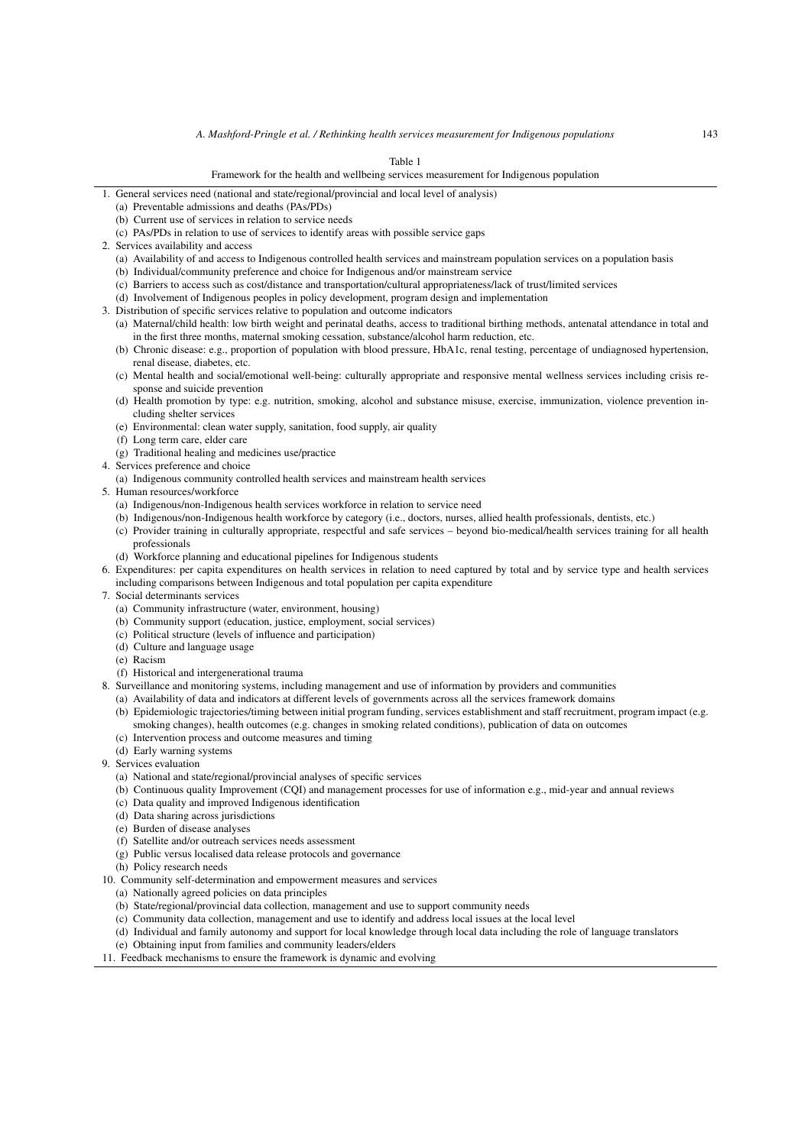#### Table 1

Framework for the health and wellbeing services measurement for Indigenous population

- <span id="page-4-0"></span>1. General services need (national and state/regional/provincial and local level of analysis)
	- (a) Preventable admissions and deaths (PAs/PDs)
	- (b) Current use of services in relation to service needs
	- (c) PAs/PDs in relation to use of services to identify areas with possible service gaps
- 2. Services availability and access
	- (a) Availability of and access to Indigenous controlled health services and mainstream population services on a population basis
	- (b) Individual/community preference and choice for Indigenous and/or mainstream service
	- (c) Barriers to access such as cost/distance and transportation/cultural appropriateness/lack of trust/limited services
	- (d) Involvement of Indigenous peoples in policy development, program design and implementation
- 3. Distribution of specific services relative to population and outcome indicators
	- (a) Maternal/child health: low birth weight and perinatal deaths, access to traditional birthing methods, antenatal attendance in total and in the first three months, maternal smoking cessation, substance/alcohol harm reduction, etc.
	- (b) Chronic disease: e.g., proportion of population with blood pressure, HbA1c, renal testing, percentage of undiagnosed hypertension, renal disease, diabetes, etc.
	- (c) Mental health and social/emotional well-being: culturally appropriate and responsive mental wellness services including crisis response and suicide prevention
	- (d) Health promotion by type: e.g. nutrition, smoking, alcohol and substance misuse, exercise, immunization, violence prevention including shelter services
	- (e) Environmental: clean water supply, sanitation, food supply, air quality
	- (f) Long term care, elder care
	- (g) Traditional healing and medicines use/practice
- 4. Services preference and choice
	- (a) Indigenous community controlled health services and mainstream health services
- 5. Human resources/workforce
	- (a) Indigenous/non-Indigenous health services workforce in relation to service need
	- (b) Indigenous/non-Indigenous health workforce by category (i.e., doctors, nurses, allied health professionals, dentists, etc.)
	- (c) Provider training in culturally appropriate, respectful and safe services beyond bio-medical/health services training for all health professionals
	- (d) Workforce planning and educational pipelines for Indigenous students
- 6. Expenditures: per capita expenditures on health services in relation to need captured by total and by service type and health services including comparisons between Indigenous and total population per capita expenditure
- 7. Social determinants services
	- (a) Community infrastructure (water, environment, housing)
	- (b) Community support (education, justice, employment, social services)
	- (c) Political structure (levels of influence and participation)
	- (d) Culture and language usage
	- (e) Racism
	- (f) Historical and intergenerational trauma
- 8. Surveillance and monitoring systems, including management and use of information by providers and communities
	- (a) Availability of data and indicators at different levels of governments across all the services framework domains
	- (b) Epidemiologic trajectories/timing between initial program funding, services establishment and staff recruitment, program impact (e.g. smoking changes), health outcomes (e.g. changes in smoking related conditions), publication of data on outcomes
	- (c) Intervention process and outcome measures and timing
	- (d) Early warning systems
- 9. Services evaluation
	- (a) National and state/regional/provincial analyses of specific services
	- (b) Continuous quality Improvement (CQI) and management processes for use of information e.g., mid-year and annual reviews
	- (c) Data quality and improved Indigenous identification
	- (d) Data sharing across jurisdictions
	- (e) Burden of disease analyses
	- (f) Satellite and/or outreach services needs assessment
	- (g) Public versus localised data release protocols and governance
	- (h) Policy research needs
- 10. Community self-determination and empowerment measures and services
	- (a) Nationally agreed policies on data principles
	- (b) State/regional/provincial data collection, management and use to support community needs
	- (c) Community data collection, management and use to identify and address local issues at the local level
	- (d) Individual and family autonomy and support for local knowledge through local data including the role of language translators
	- (e) Obtaining input from families and community leaders/elders
- 11. Feedback mechanisms to ensure the framework is dynamic and evolving

*A. Mashford-Pringle et al. / Rethinking health services measurement for Indigenous populations* 143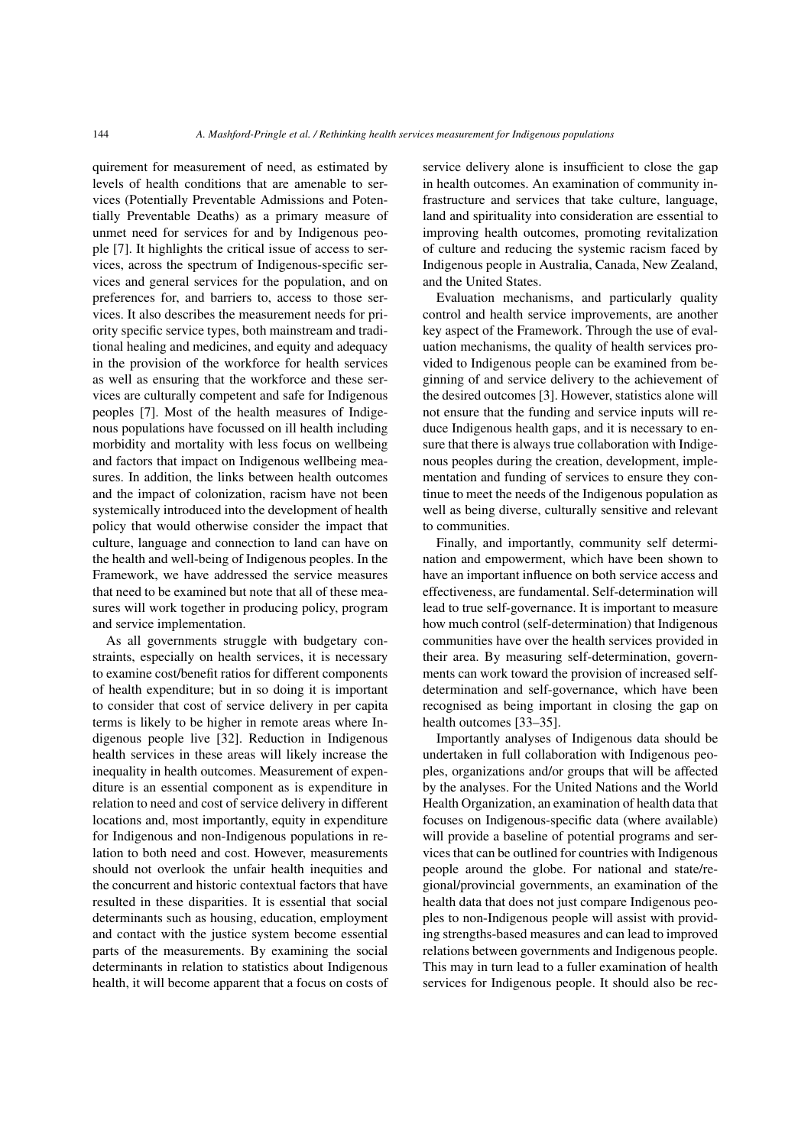quirement for measurement of need, as estimated by levels of health conditions that are amenable to services (Potentially Preventable Admissions and Potentially Preventable Deaths) as a primary measure of unmet need for services for and by Indigenous people [\[7\]](#page-6-3). It highlights the critical issue of access to services, across the spectrum of Indigenous-specific services and general services for the population, and on preferences for, and barriers to, access to those services. It also describes the measurement needs for priority specific service types, both mainstream and traditional healing and medicines, and equity and adequacy in the provision of the workforce for health services as well as ensuring that the workforce and these services are culturally competent and safe for Indigenous peoples [\[7\]](#page-6-3). Most of the health measures of Indigenous populations have focussed on ill health including morbidity and mortality with less focus on wellbeing and factors that impact on Indigenous wellbeing measures. In addition, the links between health outcomes and the impact of colonization, racism have not been systemically introduced into the development of health policy that would otherwise consider the impact that culture, language and connection to land can have on the health and well-being of Indigenous peoples. In the Framework, we have addressed the service measures that need to be examined but note that all of these measures will work together in producing policy, program and service implementation.

As all governments struggle with budgetary constraints, especially on health services, it is necessary to examine cost/benefit ratios for different components of health expenditure; but in so doing it is important to consider that cost of service delivery in per capita terms is likely to be higher in remote areas where Indigenous people live [\[32\]](#page-7-18). Reduction in Indigenous health services in these areas will likely increase the inequality in health outcomes. Measurement of expenditure is an essential component as is expenditure in relation to need and cost of service delivery in different locations and, most importantly, equity in expenditure for Indigenous and non-Indigenous populations in relation to both need and cost. However, measurements should not overlook the unfair health inequities and the concurrent and historic contextual factors that have resulted in these disparities. It is essential that social determinants such as housing, education, employment and contact with the justice system become essential parts of the measurements. By examining the social determinants in relation to statistics about Indigenous health, it will become apparent that a focus on costs of service delivery alone is insufficient to close the gap in health outcomes. An examination of community infrastructure and services that take culture, language, land and spirituality into consideration are essential to improving health outcomes, promoting revitalization of culture and reducing the systemic racism faced by Indigenous people in Australia, Canada, New Zealand, and the United States.

Evaluation mechanisms, and particularly quality control and health service improvements, are another key aspect of the Framework. Through the use of evaluation mechanisms, the quality of health services provided to Indigenous people can be examined from beginning of and service delivery to the achievement of the desired outcomes [\[3\]](#page-6-2). However, statistics alone will not ensure that the funding and service inputs will reduce Indigenous health gaps, and it is necessary to ensure that there is always true collaboration with Indigenous peoples during the creation, development, implementation and funding of services to ensure they continue to meet the needs of the Indigenous population as well as being diverse, culturally sensitive and relevant to communities.

Finally, and importantly, community self determination and empowerment, which have been shown to have an important influence on both service access and effectiveness, are fundamental. Self-determination will lead to true self-governance. It is important to measure how much control (self-determination) that Indigenous communities have over the health services provided in their area. By measuring self-determination, governments can work toward the provision of increased selfdetermination and self-governance, which have been recognised as being important in closing the gap on health outcomes [\[33](#page-7-19)[–35\]](#page-7-20).

Importantly analyses of Indigenous data should be undertaken in full collaboration with Indigenous peoples, organizations and/or groups that will be affected by the analyses. For the United Nations and the World Health Organization, an examination of health data that focuses on Indigenous-specific data (where available) will provide a baseline of potential programs and services that can be outlined for countries with Indigenous people around the globe. For national and state/regional/provincial governments, an examination of the health data that does not just compare Indigenous peoples to non-Indigenous people will assist with providing strengths-based measures and can lead to improved relations between governments and Indigenous people. This may in turn lead to a fuller examination of health services for Indigenous people. It should also be rec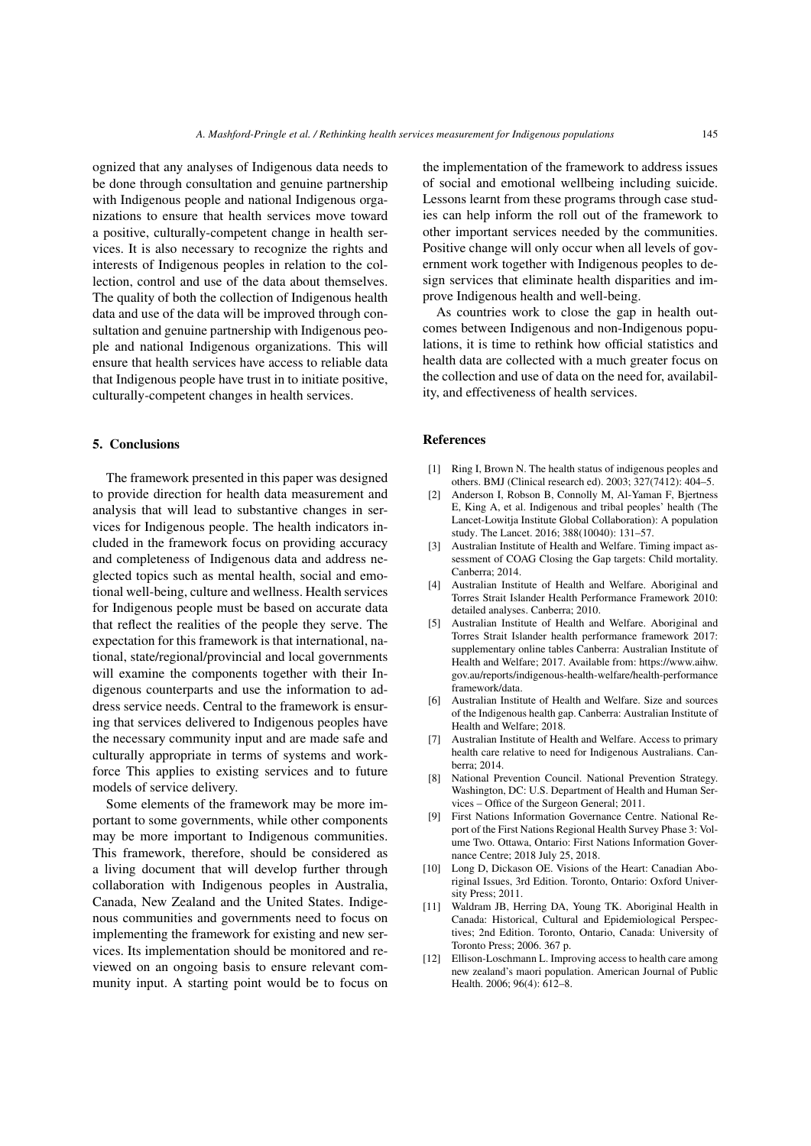ognized that any analyses of Indigenous data needs to be done through consultation and genuine partnership with Indigenous people and national Indigenous organizations to ensure that health services move toward a positive, culturally-competent change in health services. It is also necessary to recognize the rights and interests of Indigenous peoples in relation to the collection, control and use of the data about themselves. The quality of both the collection of Indigenous health data and use of the data will be improved through consultation and genuine partnership with Indigenous people and national Indigenous organizations. This will ensure that health services have access to reliable data that Indigenous people have trust in to initiate positive, culturally-competent changes in health services.

# 5. Conclusions

The framework presented in this paper was designed to provide direction for health data measurement and analysis that will lead to substantive changes in services for Indigenous people. The health indicators included in the framework focus on providing accuracy and completeness of Indigenous data and address neglected topics such as mental health, social and emotional well-being, culture and wellness. Health services for Indigenous people must be based on accurate data that reflect the realities of the people they serve. The expectation for this framework is that international, national, state/regional/provincial and local governments will examine the components together with their Indigenous counterparts and use the information to address service needs. Central to the framework is ensuring that services delivered to Indigenous peoples have the necessary community input and are made safe and culturally appropriate in terms of systems and workforce This applies to existing services and to future models of service delivery.

Some elements of the framework may be more important to some governments, while other components may be more important to Indigenous communities. This framework, therefore, should be considered as a living document that will develop further through collaboration with Indigenous peoples in Australia, Canada, New Zealand and the United States. Indigenous communities and governments need to focus on implementing the framework for existing and new services. Its implementation should be monitored and reviewed on an ongoing basis to ensure relevant community input. A starting point would be to focus on the implementation of the framework to address issues of social and emotional wellbeing including suicide. Lessons learnt from these programs through case studies can help inform the roll out of the framework to other important services needed by the communities. Positive change will only occur when all levels of government work together with Indigenous peoples to design services that eliminate health disparities and improve Indigenous health and well-being.

As countries work to close the gap in health outcomes between Indigenous and non-Indigenous populations, it is time to rethink how official statistics and health data are collected with a much greater focus on the collection and use of data on the need for, availability, and effectiveness of health services.

#### References

- <span id="page-6-0"></span>[1] Ring I, Brown N. The health status of indigenous peoples and others. BMJ (Clinical research ed). 2003; 327(7412): 404–5.
- <span id="page-6-1"></span>[2] Anderson I, Robson B, Connolly M, Al-Yaman F, Bjertness E, King A, et al. Indigenous and tribal peoples' health (The Lancet-Lowitja Institute Global Collaboration): A population study. The Lancet. 2016; 388(10040): 131–57.
- <span id="page-6-2"></span>[3] Australian Institute of Health and Welfare. Timing impact assessment of COAG Closing the Gap targets: Child mortality. Canberra; 2014.
- [4] Australian Institute of Health and Welfare. Aboriginal and Torres Strait Islander Health Performance Framework 2010: detailed analyses. Canberra; 2010.
- [5] Australian Institute of Health and Welfare. Aboriginal and Torres Strait Islander health performance framework 2017: supplementary online tables Canberra: Australian Institute of Health and Welfare: 2017. Available from: https://www.aihw. gov.au/reports/indigenous-health-welfare/health-performance framework/data.
- [6] Australian Institute of Health and Welfare. Size and sources of the Indigenous health gap. Canberra: Australian Institute of Health and Welfare; 2018.
- <span id="page-6-3"></span>[7] Australian Institute of Health and Welfare. Access to primary health care relative to need for Indigenous Australians. Canberra; 2014.
- <span id="page-6-4"></span>[8] National Prevention Council. National Prevention Strategy. Washington, DC: U.S. Department of Health and Human Services – Office of the Surgeon General; 2011.
- <span id="page-6-5"></span>[9] First Nations Information Governance Centre. National Report of the First Nations Regional Health Survey Phase 3: Volume Two. Ottawa, Ontario: First Nations Information Governance Centre; 2018 July 25, 2018.
- <span id="page-6-6"></span>[10] Long D, Dickason OE. Visions of the Heart: Canadian Aboriginal Issues, 3rd Edition. Toronto, Ontario: Oxford University Press; 2011.
- [11] Waldram JB, Herring DA, Young TK. Aboriginal Health in Canada: Historical, Cultural and Epidemiological Perspectives; 2nd Edition. Toronto, Ontario, Canada: University of Toronto Press; 2006. 367 p.
- <span id="page-6-7"></span>[12] Ellison-Loschmann L. Improving access to health care among new zealand's maori population. American Journal of Public Health. 2006; 96(4): 612–8.